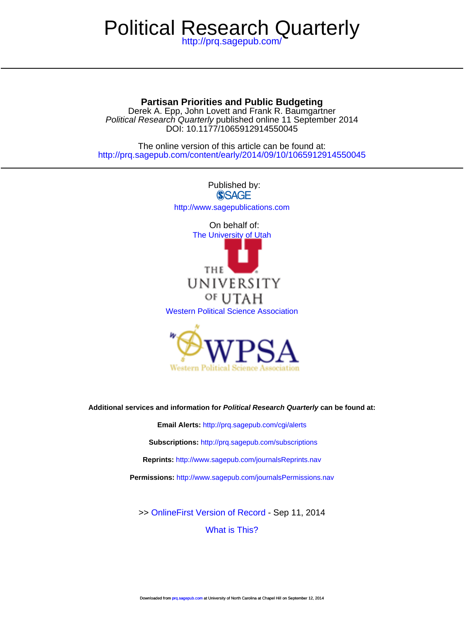# Political Research Quarterly

<http://prq.sagepub.com/>

DOI: 10.1177/1065912914550045 Political Research Quarterly published online 11 September 2014 Derek A. Epp, John Lovett and Frank R. Baumgartner **Partisan Priorities and Public Budgeting**

<http://prq.sagepub.com/content/early/2014/09/10/1065912914550045> The online version of this article can be found at:



**Additional services and information for Political Research Quarterly can be found at:**

**Email Alerts:** <http://prq.sagepub.com/cgi/alerts>

**Subscriptions:** <http://prq.sagepub.com/subscriptions>

**Reprints:** <http://www.sagepub.com/journalsReprints.nav>

**Permissions:** <http://www.sagepub.com/journalsPermissions.nav>

[What is This?](http://online.sagepub.com/site/sphelp/vorhelp.xhtml) >> [OnlineFirst Version of Record -](http://prq.sagepub.com/content/early/2014/09/10/1065912914550045.full.pdf) Sep 11, 2014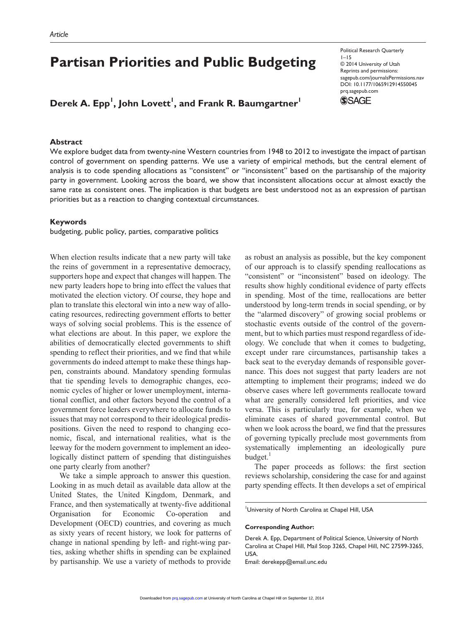# **Partisan Priorities and Public Budgeting**

 $\mathsf{D}\mathsf{erek}\ \mathsf{A}\mathsf{.}\ \mathsf{Epp}^{\mathsf{I}},$  John  $\mathsf{Lovett}^{\mathsf{I}},$  and Frank R. Baumgartner $^{\mathsf{I}}$ 

#### **Abstract**

Political Research Quarterly 1–15 © 2014 University of Utah Reprints and permissions: sagepub.com/journalsPermissions.nav DOI: 10.1177/1065912914550045 prq.sagepub.com



We explore budget data from twenty-nine Western countries from 1948 to 2012 to investigate the impact of partisan control of government on spending patterns. We use a variety of empirical methods, but the central element of analysis is to code spending allocations as "consistent" or "inconsistent" based on the partisanship of the majority party in government. Looking across the board, we show that inconsistent allocations occur at almost exactly the same rate as consistent ones. The implication is that budgets are best understood not as an expression of partisan priorities but as a reaction to changing contextual circumstances.

#### **Keywords**

budgeting, public policy, parties, comparative politics

When election results indicate that a new party will take the reins of government in a representative democracy, supporters hope and expect that changes will happen. The new party leaders hope to bring into effect the values that motivated the election victory. Of course, they hope and plan to translate this electoral win into a new way of allocating resources, redirecting government efforts to better ways of solving social problems. This is the essence of what elections are about. In this paper, we explore the abilities of democratically elected governments to shift spending to reflect their priorities, and we find that while governments do indeed attempt to make these things happen, constraints abound. Mandatory spending formulas that tie spending levels to demographic changes, economic cycles of higher or lower unemployment, international conflict, and other factors beyond the control of a government force leaders everywhere to allocate funds to issues that may not correspond to their ideological predispositions. Given the need to respond to changing economic, fiscal, and international realities, what is the leeway for the modern government to implement an ideologically distinct pattern of spending that distinguishes one party clearly from another?

We take a simple approach to answer this question. Looking in as much detail as available data allow at the United States, the United Kingdom, Denmark, and France, and then systematically at twenty-five additional Organisation for Economic Co-operation and Development (OECD) countries, and covering as much as sixty years of recent history, we look for patterns of change in national spending by left- and right-wing parties, asking whether shifts in spending can be explained by partisanship. We use a variety of methods to provide as robust an analysis as possible, but the key component of our approach is to classify spending reallocations as "consistent" or "inconsistent" based on ideology. The results show highly conditional evidence of party effects in spending. Most of the time, reallocations are better understood by long-term trends in social spending, or by the "alarmed discovery" of growing social problems or stochastic events outside of the control of the government, but to which parties must respond regardless of ideology. We conclude that when it comes to budgeting, except under rare circumstances, partisanship takes a back seat to the everyday demands of responsible governance. This does not suggest that party leaders are not attempting to implement their programs; indeed we do observe cases where left governments reallocate toward what are generally considered left priorities, and vice versa. This is particularly true, for example, when we eliminate cases of shared governmental control. But when we look across the board, we find that the pressures of governing typically preclude most governments from systematically implementing an ideologically pure  $budget.<sup>1</sup>$ 

The paper proceeds as follows: the first section reviews scholarship, considering the case for and against party spending effects. It then develops a set of empirical

University of North Carolina at Chapel Hill, USA

#### **Corresponding Author:**

Email: [derekepp@email.unc.edu](mailto:derekepp@email.unc.edu)

Derek A. Epp, Department of Political Science, University of North Carolina at Chapel Hill, Mail Stop 3265, Chapel Hill, NC 27599-3265, USA.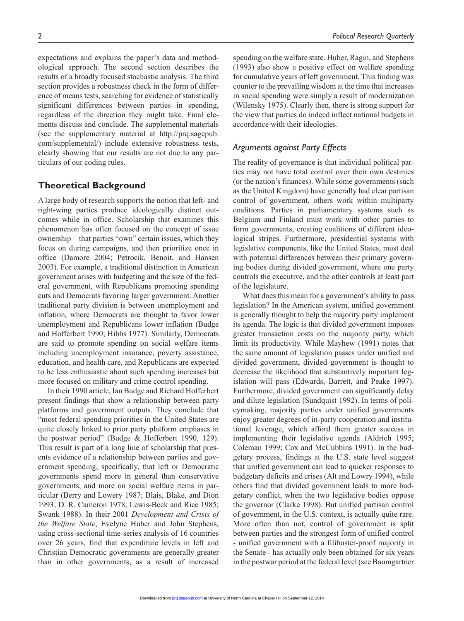expectations and explains the paper's data and methodological approach. The second section describes the results of a broadly focused stochastic analysis. The third section provides a robustness check in the form of difference of means tests, searching for evidence of statistically significant differences between parties in spending, regardless of the direction they might take. Final elements discuss and conclude. The supplemental materials (see the supplementary material at [http://prq.sagepub.](http://prq.sagepub.com/supplemental/) [com/supplemental/](http://prq.sagepub.com/supplemental/)) include extensive robustness tests, clearly showing that our results are not due to any particulars of our coding rules.

### **Theoretical Background**

A large body of research supports the notion that left- and right-wing parties produce ideologically distinct outcomes while in office. Scholarship that examines this phenomenon has often focused on the concept of issue ownership—that parties "own" certain issues, which they focus on during campaigns, and then prioritize once in office (Damore 2004; Petrocik, Benoit, and Hansen 2003). For example, a traditional distinction in American government arises with budgeting and the size of the federal government, with Republicans promoting spending cuts and Democrats favoring larger government. Another traditional party division is between unemployment and inflation, where Democrats are thought to favor lower unemployment and Republicans lower inflation (Budge and Hofferbert 1990; Hibbs 1977). Similarly, Democrats are said to promote spending on social welfare items including unemployment insurance, poverty assistance, education, and health care, and Republicans are expected to be less enthusiastic about such spending increases but more focused on military and crime control spending.

In their 1990 article, Ian Budge and Richard Hofferbert present findings that show a relationship between party platforms and government outputs. They conclude that "most federal spending priorities in the United States are quite closely linked to prior party platform emphases in the postwar period" (Budge & Hofferbert 1990, 129). This result is part of a long line of scholarship that presents evidence of a relationship between parties and government spending, specifically, that left or Democratic governments spend more in general than conservative governments, and more on social welfare items in particular (Berry and Lowery 1987; Blais, Blake, and Dion 1993; D. R. Cameron 1978; Lewis-Beck and Rice 1985; Swank 1988). In their 2001 *Development and Crisis of the Welfare State*, Evelyne Huber and John Stephens, using cross-sectional time-series analysis of 16 countries over 26 years, find that expenditure levels in left and Christian Democratic governments are generally greater than in other governments, as a result of increased

spending on the welfare state. Huber, Ragin, and Stephens (1993) also show a positive effect on welfare spending for cumulative years of left government. This finding was counter to the prevailing wisdom at the time that increases in social spending were simply a result of modernization (Wilensky 1975). Clearly then, there is strong support for the view that parties do indeed inflect national budgets in accordance with their ideologies.

# *Arguments against Party Effects*

The reality of governance is that individual political parties may not have total control over their own destinies (or the nation's finances). While some governments (such as the United Kingdom) have generally had clear partisan control of government, others work within multiparty coalitions. Parties in parliamentary systems such as Belgium and Finland must work with other parties to form governments, creating coalitions of different ideological stripes. Furthermore, presidential systems with legislative components, like the United States, must deal with potential differences between their primary governing bodies during divided government, where one party controls the executive, and the other controls at least part of the legislature.

What does this mean for a government's ability to pass legislation? In the American system, unified government is generally thought to help the majority party implement its agenda. The logic is that divided government imposes greater transaction costs on the majority party, which limit its productivity. While Mayhew (1991) notes that the same amount of legislation passes under unified and divided government, divided government is thought to decrease the likelihood that substantively important legislation will pass (Edwards, Barrett, and Peake 1997). Furthermore, divided government can significantly delay and dilute legislation (Sundquist 1992). In terms of policymaking, majority parties under unified governments enjoy greater degrees of in-party cooperation and institutional leverage, which afford them greater success in implementing their legislative agenda (Aldrich 1995; Coleman 1999; Cox and McCubbins 1991). In the budgetary process, findings at the U.S. state level suggest that unified government can lead to quicker responses to budgetary deficits and crises (Alt and Lowry 1994), while others find that divided government leads to more budgetary conflict, when the two legislative bodies oppose the governor (Clarke 1998). But unified partisan control of government, in the U.S. context, is actually quite rare. More often than not, control of government is split between parties and the strongest form of unified control - unified government with a filibuster-proof majority in the Senate - has actually only been obtained for six years in the postwar period at the federal level (see Baumgartner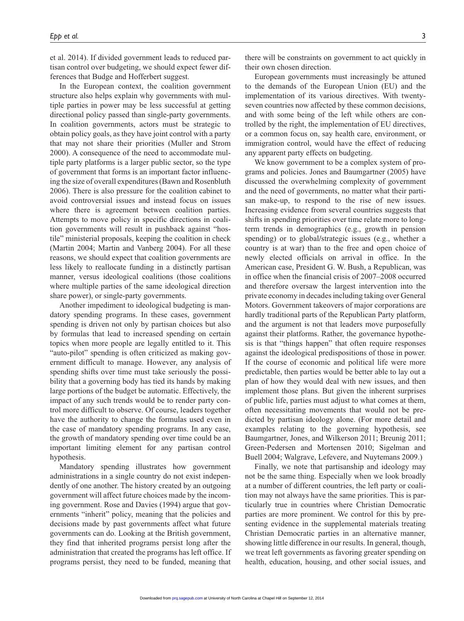et al. 2014). If divided government leads to reduced partisan control over budgeting, we should expect fewer differences that Budge and Hofferbert suggest.

In the European context, the coalition government structure also helps explain why governments with multiple parties in power may be less successful at getting directional policy passed than single-party governments. In coalition governments, actors must be strategic to obtain policy goals, as they have joint control with a party that may not share their priorities (Muller and Strom 2000). A consequence of the need to accommodate multiple party platforms is a larger public sector, so the type of government that forms is an important factor influencing the size of overall expenditures (Bawn and Rosenbluth 2006). There is also pressure for the coalition cabinet to avoid controversial issues and instead focus on issues where there is agreement between coalition parties. Attempts to move policy in specific directions in coalition governments will result in pushback against "hostile" ministerial proposals, keeping the coalition in check (Martin 2004; Martin and Vanberg 2004). For all these reasons, we should expect that coalition governments are less likely to reallocate funding in a distinctly partisan manner, versus ideological coalitions (those coalitions where multiple parties of the same ideological direction share power), or single-party governments.

Another impediment to ideological budgeting is mandatory spending programs. In these cases, government spending is driven not only by partisan choices but also by formulas that lead to increased spending on certain topics when more people are legally entitled to it. This "auto-pilot" spending is often criticized as making government difficult to manage. However, any analysis of spending shifts over time must take seriously the possibility that a governing body has tied its hands by making large portions of the budget be automatic. Effectively, the impact of any such trends would be to render party control more difficult to observe. Of course, leaders together have the authority to change the formulas used even in the case of mandatory spending programs. In any case, the growth of mandatory spending over time could be an important limiting element for any partisan control hypothesis.

Mandatory spending illustrates how government administrations in a single country do not exist independently of one another. The history created by an outgoing government will affect future choices made by the incoming government. Rose and Davies (1994) argue that governments "inherit" policy, meaning that the policies and decisions made by past governments affect what future governments can do. Looking at the British government, they find that inherited programs persist long after the administration that created the programs has left office. If programs persist, they need to be funded, meaning that

there will be constraints on government to act quickly in their own chosen direction.

European governments must increasingly be attuned to the demands of the European Union (EU) and the implementation of its various directives. With twentyseven countries now affected by these common decisions, and with some being of the left while others are controlled by the right, the implementation of EU directives, or a common focus on, say health care, environment, or immigration control, would have the effect of reducing any apparent party effects on budgeting.

We know government to be a complex system of programs and policies. Jones and Baumgartner (2005) have discussed the overwhelming complexity of government and the need of governments, no matter what their partisan make-up, to respond to the rise of new issues. Increasing evidence from several countries suggests that shifts in spending priorities over time relate more to longterm trends in demographics (e.g., growth in pension spending) or to global**/**strategic issues (e.g., whether a country is at war) than to the free and open choice of newly elected officials on arrival in office. In the American case, President G. W. Bush, a Republican, was in office when the financial crisis of 2007–2008 occurred and therefore oversaw the largest intervention into the private economy in decades including taking over General Motors. Government takeovers of major corporations are hardly traditional parts of the Republican Party platform, and the argument is not that leaders move purposefully against their platforms. Rather, the governance hypothesis is that "things happen" that often require responses against the ideological predispositions of those in power. If the course of economic and political life were more predictable, then parties would be better able to lay out a plan of how they would deal with new issues, and then implement those plans. But given the inherent surprises of public life, parties must adjust to what comes at them, often necessitating movements that would not be predicted by partisan ideology alone. (For more detail and examples relating to the governing hypothesis, see Baumgartner, Jones, and Wilkerson 2011; Breunig 2011; Green-Pedersen and Mortensen 2010; Sigelman and Buell 2004; Walgrave, Lefevere, and Nuytemans 2009.)

Finally, we note that partisanship and ideology may not be the same thing. Especially when we look broadly at a number of different countries, the left party or coalition may not always have the same priorities. This is particularly true in countries where Christian Democratic parties are more prominent. We control for this by presenting evidence in the supplemental materials treating Christian Democratic parties in an alternative manner, showing little difference in our results. In general, though, we treat left governments as favoring greater spending on health, education, housing, and other social issues, and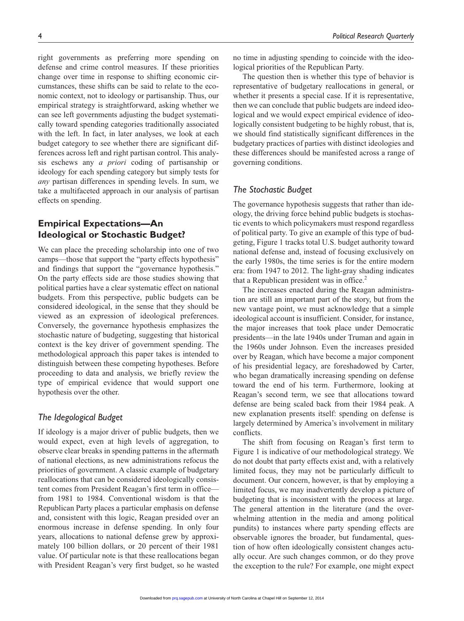right governments as preferring more spending on defense and crime control measures. If these priorities change over time in response to shifting economic circumstances, these shifts can be said to relate to the economic context, not to ideology or partisanship. Thus, our empirical strategy is straightforward, asking whether we can see left governments adjusting the budget systematically toward spending categories traditionally associated with the left. In fact, in later analyses, we look at each budget category to see whether there are significant differences across left and right partisan control. This analysis eschews any *a priori* coding of partisanship or ideology for each spending category but simply tests for *any* partisan differences in spending levels. In sum, we take a multifaceted approach in our analysis of partisan effects on spending.

# **Empirical Expectations—An Ideological or Stochastic Budget?**

We can place the preceding scholarship into one of two camps—those that support the "party effects hypothesis" and findings that support the "governance hypothesis." On the party effects side are those studies showing that political parties have a clear systematic effect on national budgets. From this perspective, public budgets can be considered ideological, in the sense that they should be viewed as an expression of ideological preferences. Conversely, the governance hypothesis emphasizes the stochastic nature of budgeting, suggesting that historical context is the key driver of government spending. The methodological approach this paper takes is intended to distinguish between these competing hypotheses. Before proceeding to data and analysis, we briefly review the type of empirical evidence that would support one hypothesis over the other.

# *The Idegological Budget*

If ideology is a major driver of public budgets, then we would expect, even at high levels of aggregation, to observe clear breaks in spending patterns in the aftermath of national elections, as new administrations refocus the priorities of government. A classic example of budgetary reallocations that can be considered ideologically consistent comes from President Reagan's first term in office from 1981 to 1984. Conventional wisdom is that the Republican Party places a particular emphasis on defense and, consistent with this logic, Reagan presided over an enormous increase in defense spending. In only four years, allocations to national defense grew by approximately 100 billion dollars, or 20 percent of their 1981 value. Of particular note is that these reallocations began with President Reagan's very first budget, so he wasted no time in adjusting spending to coincide with the ideological priorities of the Republican Party.

The question then is whether this type of behavior is representative of budgetary reallocations in general, or whether it presents a special case. If it is representative, then we can conclude that public budgets are indeed ideological and we would expect empirical evidence of ideologically consistent budgeting to be highly robust, that is, we should find statistically significant differences in the budgetary practices of parties with distinct ideologies and these differences should be manifested across a range of governing conditions.

#### *The Stochastic Budget*

The governance hypothesis suggests that rather than ideology, the driving force behind public budgets is stochastic events to which policymakers must respond regardless of political party. To give an example of this type of budgeting, Figure 1 tracks total U.S. budget authority toward national defense and, instead of focusing exclusively on the early 1980s, the time series is for the entire modern era: from 1947 to 2012. The light-gray shading indicates that a Republican president was in office. $2^2$ 

The increases enacted during the Reagan administration are still an important part of the story, but from the new vantage point, we must acknowledge that a simple ideological account is insufficient. Consider, for instance, the major increases that took place under Democratic presidents—in the late 1940s under Truman and again in the 1960s under Johnson. Even the increases presided over by Reagan, which have become a major component of his presidential legacy, are foreshadowed by Carter, who began dramatically increasing spending on defense toward the end of his term. Furthermore, looking at Reagan's second term, we see that allocations toward defense are being scaled back from their 1984 peak. A new explanation presents itself: spending on defense is largely determined by America's involvement in military conflicts.

The shift from focusing on Reagan's first term to Figure 1 is indicative of our methodological strategy. We do not doubt that party effects exist and, with a relatively limited focus, they may not be particularly difficult to document. Our concern, however, is that by employing a limited focus, we may inadvertently develop a picture of budgeting that is inconsistent with the process at large. The general attention in the literature (and the overwhelming attention in the media and among political pundits) to instances where party spending effects are observable ignores the broader, but fundamental, question of how often ideologically consistent changes actually occur. Are such changes common, or do they prove the exception to the rule? For example, one might expect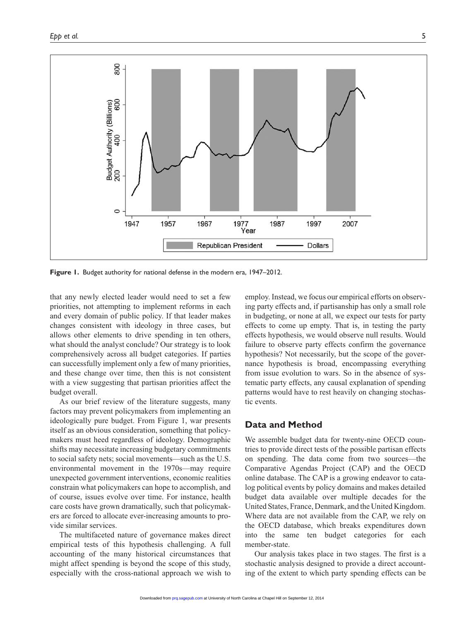

**Figure 1.** Budget authority for national defense in the modern era, 1947–2012.

that any newly elected leader would need to set a few priorities, not attempting to implement reforms in each and every domain of public policy. If that leader makes changes consistent with ideology in three cases, but allows other elements to drive spending in ten others, what should the analyst conclude? Our strategy is to look comprehensively across all budget categories. If parties can successfully implement only a few of many priorities, and these change over time, then this is not consistent with a view suggesting that partisan priorities affect the budget overall.

As our brief review of the literature suggests, many factors may prevent policymakers from implementing an ideologically pure budget. From Figure 1, war presents itself as an obvious consideration, something that policymakers must heed regardless of ideology. Demographic shifts may necessitate increasing budgetary commitments to social safety nets; social movements—such as the U.S. environmental movement in the 1970s—may require unexpected government interventions, economic realities constrain what policymakers can hope to accomplish, and of course, issues evolve over time. For instance, health care costs have grown dramatically, such that policymakers are forced to allocate ever-increasing amounts to provide similar services.

The multifaceted nature of governance makes direct empirical tests of this hypothesis challenging. A full accounting of the many historical circumstances that might affect spending is beyond the scope of this study, especially with the cross-national approach we wish to

employ. Instead, we focus our empirical efforts on observing party effects and, if partisanship has only a small role in budgeting, or none at all, we expect our tests for party effects to come up empty. That is, in testing the party effects hypothesis, we would observe null results. Would failure to observe party effects confirm the governance hypothesis? Not necessarily, but the scope of the governance hypothesis is broad, encompassing everything from issue evolution to wars. So in the absence of systematic party effects, any causal explanation of spending patterns would have to rest heavily on changing stochastic events.

# **Data and Method**

We assemble budget data for twenty-nine OECD countries to provide direct tests of the possible partisan effects on spending. The data come from two sources—the Comparative Agendas Project (CAP) and the OECD online database. The CAP is a growing endeavor to catalog political events by policy domains and makes detailed budget data available over multiple decades for the United States, France, Denmark, and the United Kingdom. Where data are not available from the CAP, we rely on the OECD database, which breaks expenditures down into the same ten budget categories for each member-state.

Our analysis takes place in two stages. The first is a stochastic analysis designed to provide a direct accounting of the extent to which party spending effects can be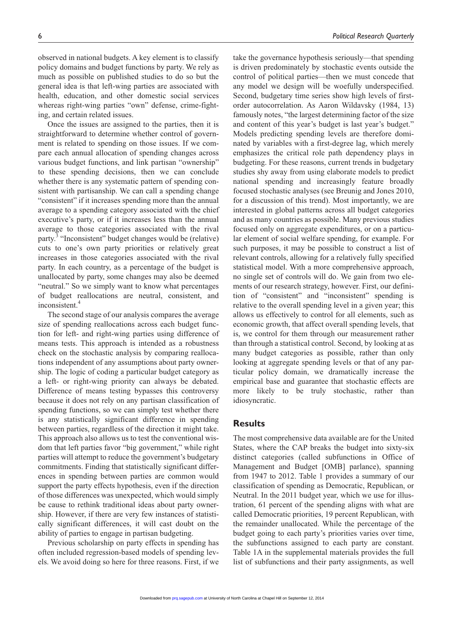observed in national budgets. A key element is to classify policy domains and budget functions by party. We rely as much as possible on published studies to do so but the general idea is that left-wing parties are associated with health, education, and other domestic social services whereas right-wing parties "own" defense, crime-fighting, and certain related issues.

Once the issues are assigned to the parties, then it is straightforward to determine whether control of government is related to spending on those issues. If we compare each annual allocation of spending changes across various budget functions, and link partisan "ownership" to these spending decisions, then we can conclude whether there is any systematic pattern of spending consistent with partisanship. We can call a spending change "consistent" if it increases spending more than the annual average to a spending category associated with the chief executive's party, or if it increases less than the annual average to those categories associated with the rival party.<sup>3</sup> "Inconsistent" budget changes would be (relative) cuts to one's own party priorities or relatively great increases in those categories associated with the rival party. In each country, as a percentage of the budget is unallocated by party, some changes may also be deemed "neutral." So we simply want to know what percentages of budget reallocations are neutral, consistent, and inconsistent.<sup>4</sup>

The second stage of our analysis compares the average size of spending reallocations across each budget function for left- and right-wing parties using difference of means tests. This approach is intended as a robustness check on the stochastic analysis by comparing reallocations independent of any assumptions about party ownership. The logic of coding a particular budget category as a left- or right-wing priority can always be debated. Difference of means testing bypasses this controversy because it does not rely on any partisan classification of spending functions, so we can simply test whether there is any statistically significant difference in spending between parties, regardless of the direction it might take. This approach also allows us to test the conventional wisdom that left parties favor "big government," while right parties will attempt to reduce the government's budgetary commitments. Finding that statistically significant differences in spending between parties are common would support the party effects hypothesis, even if the direction of those differences was unexpected, which would simply be cause to rethink traditional ideas about party ownership. However, if there are very few instances of statistically significant differences, it will cast doubt on the ability of parties to engage in partisan budgeting.

Previous scholarship on party effects in spending has often included regression-based models of spending levels. We avoid doing so here for three reasons. First, if we take the governance hypothesis seriously—that spending is driven predominately by stochastic events outside the control of political parties—then we must concede that any model we design will be woefully underspecified. Second, budgetary time series show high levels of firstorder autocorrelation. As Aaron Wildavsky (1984, 13) famously notes, "the largest determining factor of the size and content of this year's budget is last year's budget." Models predicting spending levels are therefore domi-

nated by variables with a first-degree lag, which merely emphasizes the critical role path dependency plays in budgeting. For these reasons, current trends in budgetary studies shy away from using elaborate models to predict national spending and increasingly feature broadly focused stochastic analyses (see Breunig and Jones 2010, for a discussion of this trend). Most importantly, we are interested in global patterns across all budget categories and as many countries as possible. Many previous studies focused only on aggregate expenditures, or on a particular element of social welfare spending, for example. For such purposes, it may be possible to construct a list of relevant controls, allowing for a relatively fully specified statistical model. With a more comprehensive approach, no single set of controls will do. We gain from two elements of our research strategy, however. First, our definition of "consistent" and "inconsistent" spending is relative to the overall spending level in a given year; this allows us effectively to control for all elements, such as economic growth, that affect overall spending levels, that is, we control for them through our measurement rather than through a statistical control. Second, by looking at as many budget categories as possible, rather than only looking at aggregate spending levels or that of any particular policy domain, we dramatically increase the empirical base and guarantee that stochastic effects are more likely to be truly stochastic, rather than idiosyncratic.

#### **Results**

The most comprehensive data available are for the United States, where the CAP breaks the budget into sixty-six distinct categories (called subfunctions in Office of Management and Budget [OMB] parlance), spanning from 1947 to 2012. Table 1 provides a summary of our classification of spending as Democratic, Republican, or Neutral. In the 2011 budget year, which we use for illustration, 61 percent of the spending aligns with what are called Democratic priorities, 19 percent Republican, with the remainder unallocated. While the percentage of the budget going to each party's priorities varies over time, the subfunctions assigned to each party are constant. Table 1A in the supplemental materials provides the full list of subfunctions and their party assignments, as well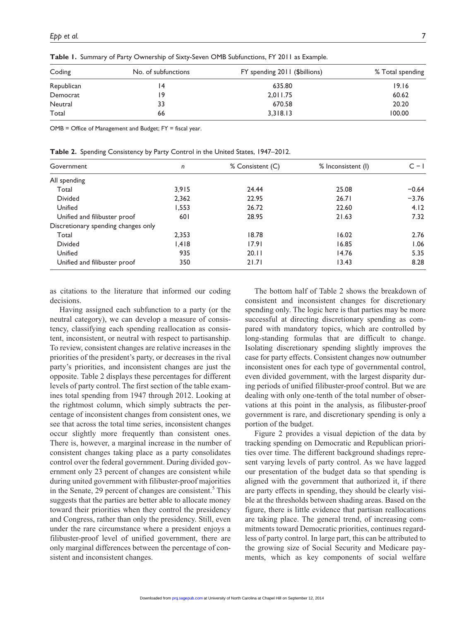| Coding     | No. of subfunctions | FY spending 2011 (\$billions) | % Total spending |  |
|------------|---------------------|-------------------------------|------------------|--|
| Republican | 14                  | 635.80                        | 19.16            |  |
| Democrat   | 9                   | 2,011.75                      | 60.62            |  |
| Neutral    | 33                  | 670.58                        | 20.20            |  |
| Total      | 66                  | 3.318.13                      | 100.00           |  |

**Table 1.** Summary of Party Ownership of Sixty-Seven OMB Subfunctions, FY 2011 as Example.

OMB = Office of Management and Budget; FY = fiscal year.

**Table 2.** Spending Consistency by Party Control in the United States, 1947–2012.

| Government                          | n     | % Consistent (C) | % Inconsistent (I) | $C - I$ |  |
|-------------------------------------|-------|------------------|--------------------|---------|--|
| All spending                        |       |                  |                    |         |  |
| Total                               | 3.915 | 24.44            | 25.08              | $-0.64$ |  |
| Divided                             | 2,362 | 22.95            | 26.71              | $-3.76$ |  |
| Unified                             | 1.553 | 26.72            | 22.60              | 4.12    |  |
| Unified and filibuster proof        | 601   | 28.95            | 21.63              | 7.32    |  |
| Discretionary spending changes only |       |                  |                    |         |  |
| Total                               | 2,353 | 18.78            | 16.02              | 2.76    |  |
| Divided                             | 1,418 | 17.91            | 16.85              | 1.06    |  |
| Unified                             | 935   | 20.11            | 14.76              | 5.35    |  |
| Unified and filibuster proof        | 350   | 21.71            | 13.43              | 8.28    |  |

as citations to the literature that informed our coding decisions.

Having assigned each subfunction to a party (or the neutral category), we can develop a measure of consistency, classifying each spending reallocation as consistent, inconsistent, or neutral with respect to partisanship. To review, consistent changes are relative increases in the priorities of the president's party, or decreases in the rival party's priorities, and inconsistent changes are just the opposite. Table 2 displays these percentages for different levels of party control. The first section of the table examines total spending from 1947 through 2012. Looking at the rightmost column, which simply subtracts the percentage of inconsistent changes from consistent ones, we see that across the total time series, inconsistent changes occur slightly more frequently than consistent ones. There is, however, a marginal increase in the number of consistent changes taking place as a party consolidates control over the federal government. During divided government only 23 percent of changes are consistent while during united government with filibuster-proof majorities in the Senate, 29 percent of changes are consistent.<sup>5</sup> This suggests that the parties are better able to allocate money toward their priorities when they control the presidency and Congress, rather than only the presidency. Still, even under the rare circumstance where a president enjoys a filibuster-proof level of unified government, there are only marginal differences between the percentage of consistent and inconsistent changes.

The bottom half of Table 2 shows the breakdown of consistent and inconsistent changes for discretionary spending only. The logic here is that parties may be more successful at directing discretionary spending as compared with mandatory topics, which are controlled by long-standing formulas that are difficult to change. Isolating discretionary spending slightly improves the case for party effects. Consistent changes now outnumber inconsistent ones for each type of governmental control, even divided government, with the largest disparity during periods of unified filibuster-proof control. But we are dealing with only one-tenth of the total number of observations at this point in the analysis, as filibuster-proof government is rare, and discretionary spending is only a portion of the budget.

Figure 2 provides a visual depiction of the data by tracking spending on Democratic and Republican priorities over time. The different background shadings represent varying levels of party control. As we have lagged our presentation of the budget data so that spending is aligned with the government that authorized it, if there are party effects in spending, they should be clearly visible at the thresholds between shading areas. Based on the figure, there is little evidence that partisan reallocations are taking place. The general trend, of increasing commitments toward Democratic priorities, continues regardless of party control. In large part, this can be attributed to the growing size of Social Security and Medicare payments, which as key components of social welfare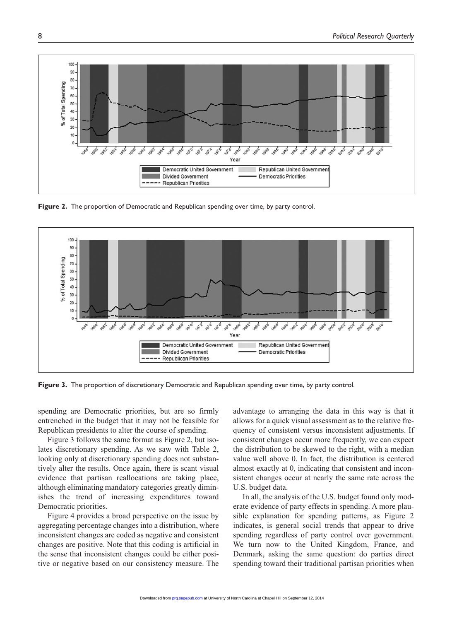

**Figure 2.** The proportion of Democratic and Republican spending over time, by party control.



**Figure 3.** The proportion of discretionary Democratic and Republican spending over time, by party control.

spending are Democratic priorities, but are so firmly entrenched in the budget that it may not be feasible for Republican presidents to alter the course of spending.

Figure 3 follows the same format as Figure 2, but isolates discretionary spending. As we saw with Table 2, looking only at discretionary spending does not substantively alter the results. Once again, there is scant visual evidence that partisan reallocations are taking place, although eliminating mandatory categories greatly diminishes the trend of increasing expenditures toward Democratic priorities.

Figure 4 provides a broad perspective on the issue by aggregating percentage changes into a distribution, where inconsistent changes are coded as negative and consistent changes are positive. Note that this coding is artificial in the sense that inconsistent changes could be either positive or negative based on our consistency measure. The advantage to arranging the data in this way is that it allows for a quick visual assessment as to the relative frequency of consistent versus inconsistent adjustments. If consistent changes occur more frequently, we can expect the distribution to be skewed to the right, with a median value well above 0. In fact, the distribution is centered almost exactly at 0, indicating that consistent and inconsistent changes occur at nearly the same rate across the U.S. budget data.

In all, the analysis of the U.S. budget found only moderate evidence of party effects in spending. A more plausible explanation for spending patterns, as Figure 2 indicates, is general social trends that appear to drive spending regardless of party control over government. We turn now to the United Kingdom, France, and Denmark, asking the same question: do parties direct spending toward their traditional partisan priorities when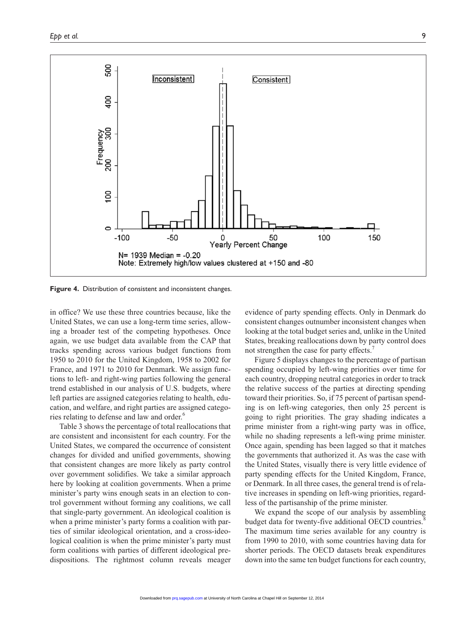

**Figure 4.** Distribution of consistent and inconsistent changes.

in office? We use these three countries because, like the United States, we can use a long-term time series, allowing a broader test of the competing hypotheses. Once again, we use budget data available from the CAP that tracks spending across various budget functions from 1950 to 2010 for the United Kingdom, 1958 to 2002 for France, and 1971 to 2010 for Denmark. We assign functions to left- and right-wing parties following the general trend established in our analysis of U.S. budgets, where left parties are assigned categories relating to health, education, and welfare, and right parties are assigned categories relating to defense and law and order.<sup>6</sup>

Table 3 shows the percentage of total reallocations that are consistent and inconsistent for each country. For the United States, we compared the occurrence of consistent changes for divided and unified governments, showing that consistent changes are more likely as party control over government solidifies. We take a similar approach here by looking at coalition governments. When a prime minister's party wins enough seats in an election to control government without forming any coalitions, we call that single-party government. An ideological coalition is when a prime minister's party forms a coalition with parties of similar ideological orientation, and a cross-ideological coalition is when the prime minister's party must form coalitions with parties of different ideological predispositions. The rightmost column reveals meager

evidence of party spending effects. Only in Denmark do consistent changes outnumber inconsistent changes when looking at the total budget series and, unlike in the United States, breaking reallocations down by party control does not strengthen the case for party effects.<sup>7</sup>

Figure 5 displays changes to the percentage of partisan spending occupied by left-wing priorities over time for each country, dropping neutral categories in order to track the relative success of the parties at directing spending toward their priorities. So, if 75 percent of partisan spending is on left-wing categories, then only 25 percent is going to right priorities. The gray shading indicates a prime minister from a right-wing party was in office, while no shading represents a left-wing prime minister. Once again, spending has been lagged so that it matches the governments that authorized it. As was the case with the United States, visually there is very little evidence of party spending effects for the United Kingdom, France, or Denmark. In all three cases, the general trend is of relative increases in spending on left-wing priorities, regardless of the partisanship of the prime minister.

We expand the scope of our analysis by assembling budget data for twenty-five additional OECD countries.<sup>8</sup> The maximum time series available for any country is from 1990 to 2010, with some countries having data for shorter periods. The OECD datasets break expenditures down into the same ten budget functions for each country,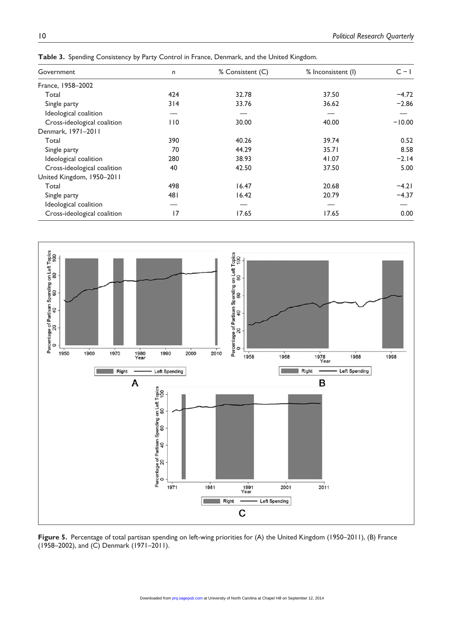| Government                  | n   | % Consistent (C) | % Inconsistent (I) | $C - 1$  |
|-----------------------------|-----|------------------|--------------------|----------|
| France, 1958-2002           |     |                  |                    |          |
| Total                       | 424 | 32.78            | 37.50              | $-4.72$  |
| Single party                | 314 | 33.76            | 36.62              | $-2.86$  |
| Ideological coalition       |     |                  |                    |          |
| Cross-ideological coalition | 110 | 30.00            | 40.00              | $-10.00$ |
| Denmark, 1971-2011          |     |                  |                    |          |
| Total                       | 390 | 40.26            | 39.74              | 0.52     |
| Single party                | 70  | 44.29            | 35.71              | 8.58     |
| Ideological coalition       | 280 | 38.93            | 41.07              | $-2.14$  |
| Cross-ideological coalition | 40  | 42.50            | 37.50              | 5.00     |
| United Kingdom, 1950-2011   |     |                  |                    |          |
| Total                       | 498 | 16.47            | 20.68              | $-4.21$  |
| Single party                | 481 | 16.42            | 20.79              | $-4.37$  |
| Ideological coalition       |     |                  |                    |          |
| Cross-ideological coalition | 17  | 17.65            | 17.65              | 0.00     |

**Table 3.** Spending Consistency by Party Control in France, Denmark, and the United Kingdom.



Figure 5. Percentage of total partisan spending on left-wing priorities for (A) the United Kingdom (1950–2011), (B) France (1958–2002), and (C) Denmark (1971–2011).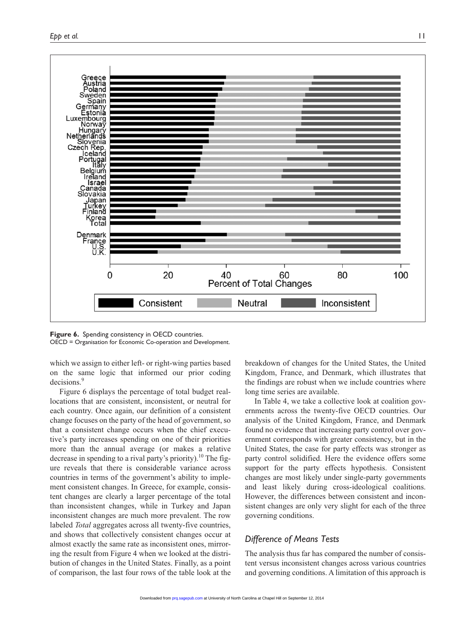

**Figure 6.** Spending consistency in OECD countries. OECD = Organisation for Economic Co-operation and Development.

which we assign to either left- or right-wing parties based on the same logic that informed our prior coding decisions.<sup>9</sup>

Figure 6 displays the percentage of total budget reallocations that are consistent, inconsistent, or neutral for each country. Once again, our definition of a consistent change focuses on the party of the head of government, so that a consistent change occurs when the chief executive's party increases spending on one of their priorities more than the annual average (or makes a relative decrease in spending to a rival party's priority).<sup>10</sup> The figure reveals that there is considerable variance across countries in terms of the government's ability to implement consistent changes. In Greece, for example, consistent changes are clearly a larger percentage of the total than inconsistent changes, while in Turkey and Japan inconsistent changes are much more prevalent. The row labeled *Total* aggregates across all twenty-five countries, and shows that collectively consistent changes occur at almost exactly the same rate as inconsistent ones, mirroring the result from Figure 4 when we looked at the distribution of changes in the United States. Finally, as a point of comparison, the last four rows of the table look at the

breakdown of changes for the United States, the United Kingdom, France, and Denmark, which illustrates that the findings are robust when we include countries where long time series are available.

In Table 4, we take a collective look at coalition governments across the twenty-five OECD countries. Our analysis of the United Kingdom, France, and Denmark found no evidence that increasing party control over government corresponds with greater consistency, but in the United States, the case for party effects was stronger as party control solidified. Here the evidence offers some support for the party effects hypothesis. Consistent changes are most likely under single-party governments and least likely during cross-ideological coalitions. However, the differences between consistent and inconsistent changes are only very slight for each of the three governing conditions.

# *Difference of Means Tests*

The analysis thus far has compared the number of consistent versus inconsistent changes across various countries and governing conditions. A limitation of this approach is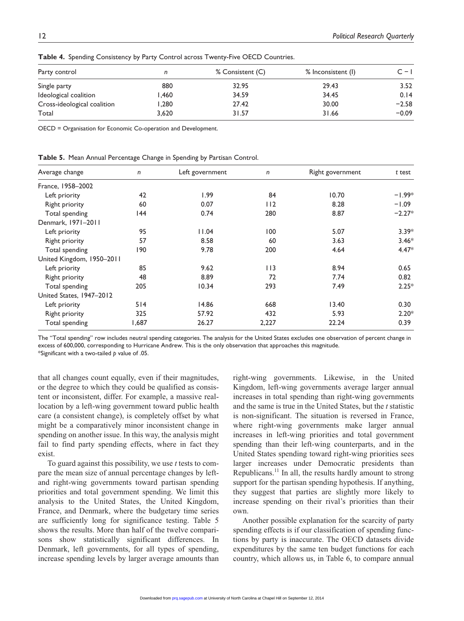| <b>Table 4.</b> Sperightly Consistency by Farty Control across Twenty-Five OLCD Countries. |      |                  |                    |         |  |  |  |
|--------------------------------------------------------------------------------------------|------|------------------|--------------------|---------|--|--|--|
| Party control                                                                              |      | % Consistent (C) | % Inconsistent (I) | C – I   |  |  |  |
| Single party                                                                               | 880  | 32.95            | 29.43              | 3.52    |  |  |  |
| Ideological coalition                                                                      | .460 | 34.59            | 34.45              | 0.14    |  |  |  |
| Cross-ideological coalition                                                                | .280 | 27.42            | 30.00              | $-2.58$ |  |  |  |

Total 3,620 31.57 31.66 −0.09

**Table 4.** Spending Consistency by Party Control across Twenty-Five OECD Countries.

OECD = Organisation for Economic Co-operation and Development.

Average change *n* Left government *n* Right government *t* test France, 1958–2002 Left priority 42 1.99 84 10.70 −1.99\* Right priority 60 0.07 112 8.28 −1.09 Total spending 144 0.74 280 8.87 −2.27<sup>\*</sup> Denmark, 1971–2011 Left priority 95 11.04 100 5.07 3.39\* Right priority  $57$  8.58 60 3.63  $3.63$   $3.46*$ Total spending 190 9.78 200 4.64 4.47\* United Kingdom, 1950–2011 Left priority 85 9.62 113 8.94 0.65 Right priority 48 8.89 72 7.74 0.82 Total spending 205 205 10.34 293 2.25\* United States, 1947–2012 Left priority 514 14.86 668 13.40 0.30 Right priority 325 57.92 432 5.93 2.20\* Total spending 1,687 26.27 2,227 2.24 0.39

**Table 5.** Mean Annual Percentage Change in Spending by Partisan Control.

The "Total spending" row includes neutral spending categories. The analysis for the United States excludes one observation of percent change in excess of 600,000, corresponding to Hurricane Andrew. This is the only observation that approaches this magnitude. \*Significant with a two-tailed *p* value of .05.

that all changes count equally, even if their magnitudes, or the degree to which they could be qualified as consistent or inconsistent, differ. For example, a massive reallocation by a left-wing government toward public health care (a consistent change), is completely offset by what might be a comparatively minor inconsistent change in spending on another issue. In this way, the analysis might fail to find party spending effects, where in fact they exist.

To guard against this possibility, we use *t* tests to compare the mean size of annual percentage changes by leftand right-wing governments toward partisan spending priorities and total government spending. We limit this analysis to the United States, the United Kingdom, France, and Denmark, where the budgetary time series are sufficiently long for significance testing. Table 5 shows the results. More than half of the twelve comparisons show statistically significant differences. In Denmark, left governments, for all types of spending, increase spending levels by larger average amounts than

right-wing governments. Likewise, in the United Kingdom, left-wing governments average larger annual increases in total spending than right-wing governments and the same is true in the United States, but the *t* statistic is non-significant. The situation is reversed in France, where right-wing governments make larger annual increases in left-wing priorities and total government spending than their left-wing counterparts, and in the United States spending toward right-wing priorities sees larger increases under Democratic presidents than Republicans.<sup>11</sup> In all, the results hardly amount to strong support for the partisan spending hypothesis. If anything, they suggest that parties are slightly more likely to increase spending on their rival's priorities than their own.

Another possible explanation for the scarcity of party spending effects is if our classification of spending functions by party is inaccurate. The OECD datasets divide expenditures by the same ten budget functions for each country, which allows us, in Table 6, to compare annual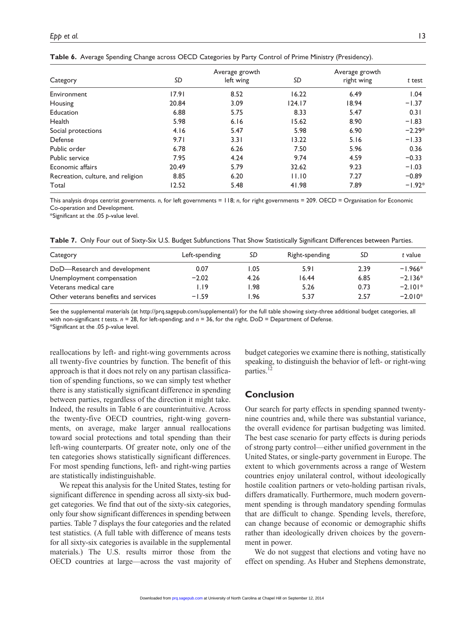|                                   | Average growth |           |        | Average growth |          |
|-----------------------------------|----------------|-----------|--------|----------------|----------|
| Category                          | SD             | left wing | SD     | right wing     | t test   |
| Environment                       | 17.91          | 8.52      | 16.22  | 6.49           | 1.04     |
| Housing                           | 20.84          | 3.09      | 124.17 | 18.94          | $-1.37$  |
| Education                         | 6.88           | 5.75      | 8.33   | 5.47           | 0.31     |
| Health                            | 5.98           | 6.16      | 15.62  | 8.90           | $-1.83$  |
| Social protections                | 4.16           | 5.47      | 5.98   | 6.90           | $-2.29*$ |
| Defense                           | 9.71           | 3.31      | 13.22  | 5.16           | $-1.33$  |
| Public order                      | 6.78           | 6.26      | 7.50   | 5.96           | 0.36     |
| Public service                    | 7.95           | 4.24      | 9.74   | 4.59           | $-0.33$  |
| Economic affairs                  | 20.49          | 5.79      | 32.62  | 9.23           | $-1.03$  |
| Recreation, culture, and religion | 8.85           | 6.20      | 11.10  | 7.27           | $-0.89$  |
| Total                             | 12.52          | 5.48      | 41.98  | 7.89           | $-1.92*$ |

|  | Table 6. Average Spending Change across OECD Categories by Party Control of Prime Ministry (Presidency). |  |  |  |  |  |  |  |
|--|----------------------------------------------------------------------------------------------------------|--|--|--|--|--|--|--|
|--|----------------------------------------------------------------------------------------------------------|--|--|--|--|--|--|--|

This analysis drops centrist governments. *n*, for left governments = 118; *n*, for right governments = 209. OECD = Organisation for Economic Co-operation and Development.

\*Significant at the .05 *p*-value level.

**Table 7.** Only Four out of Sixty-Six U.S. Budget Subfunctions That Show Statistically Significant Differences between Parties.

| Category                             | Left-spending | SD   | Right-spending | SD   | t value   |
|--------------------------------------|---------------|------|----------------|------|-----------|
| DoD-Research and development         | 0.07          | I.O5 | 5.91           | 2.39 | $-1.966*$ |
| Unemployment compensation            | $-2.02$       | 4.26 | 16.44          | 6.85 | $-2.136*$ |
| Veterans medical care                | I.I9          | I.98 | 5.26           | 0.73 | $-2.101*$ |
| Other veterans benefits and services | $-1.59$       | I.96 | 5.37           | 2.57 | $-2.010*$ |

See the supplemental materials (at<http://prq.sagepub.com/supplemental/>) for the full table showing sixty-three additional budget categories, all with non-significant *t* tests. *n* = 28, for left-spending; and *n* = 36, for the right. DoD = Department of Defense. \*Significant at the .05 *p*-value level.

reallocations by left- and right-wing governments across all twenty-five countries by function. The benefit of this approach is that it does not rely on any partisan classification of spending functions, so we can simply test whether there is any statistically significant difference in spending between parties, regardless of the direction it might take. Indeed, the results in Table 6 are counterintuitive. Across the twenty-five OECD countries, right-wing governments, on average, make larger annual reallocations toward social protections and total spending than their left-wing counterparts. Of greater note, only one of the ten categories shows statistically significant differences. For most spending functions, left- and right-wing parties are statistically indistinguishable.

We repeat this analysis for the United States, testing for significant difference in spending across all sixty-six budget categories. We find that out of the sixty-six categories, only four show significant differences in spending between parties. Table 7 displays the four categories and the related test statistics. (A full table with difference of means tests for all sixty-six categories is available in the supplemental materials.) The U.S. results mirror those from the OECD countries at large—across the vast majority of budget categories we examine there is nothing, statistically speaking, to distinguish the behavior of left- or right-wing parties.<sup>12</sup>

# **Conclusion**

Our search for party effects in spending spanned twentynine countries and, while there was substantial variance, the overall evidence for partisan budgeting was limited. The best case scenario for party effects is during periods of strong party control—either unified government in the United States, or single-party government in Europe. The extent to which governments across a range of Western countries enjoy unilateral control, without ideologically hostile coalition partners or veto-holding partisan rivals, differs dramatically. Furthermore, much modern government spending is through mandatory spending formulas that are difficult to change. Spending levels, therefore, can change because of economic or demographic shifts rather than ideologically driven choices by the government in power.

We do not suggest that elections and voting have no effect on spending. As Huber and Stephens demonstrate,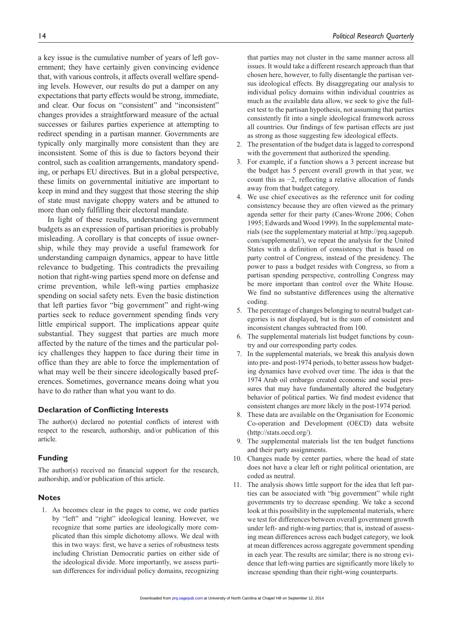a key issue is the cumulative number of years of left government; they have certainly given convincing evidence that, with various controls, it affects overall welfare spending levels. However, our results do put a damper on any expectations that party effects would be strong, immediate, and clear. Our focus on "consistent" and "inconsistent" changes provides a straightforward measure of the actual successes or failures parties experience at attempting to redirect spending in a partisan manner. Governments are typically only marginally more consistent than they are inconsistent. Some of this is due to factors beyond their control, such as coalition arrangements, mandatory spending, or perhaps EU directives. But in a global perspective, these limits on governmental initiative are important to keep in mind and they suggest that those steering the ship of state must navigate choppy waters and be attuned to more than only fulfilling their electoral mandate.

In light of these results, understanding government budgets as an expression of partisan priorities is probably misleading. A corollary is that concepts of issue ownership, while they may provide a useful framework for understanding campaign dynamics, appear to have little relevance to budgeting. This contradicts the prevailing notion that right-wing parties spend more on defense and crime prevention, while left-wing parties emphasize spending on social safety nets. Even the basic distinction that left parties favor "big government" and right-wing parties seek to reduce government spending finds very little empirical support. The implications appear quite substantial. They suggest that parties are much more affected by the nature of the times and the particular policy challenges they happen to face during their time in office than they are able to force the implementation of what may well be their sincere ideologically based preferences. Sometimes, governance means doing what you have to do rather than what you want to do.

#### **Declaration of Conflicting Interests**

The author(s) declared no potential conflicts of interest with respect to the research, authorship, and/or publication of this article.

#### **Funding**

The author(s) received no financial support for the research, authorship, and/or publication of this article.

### **Notes**

1. As becomes clear in the pages to come, we code parties by "left" and "right" ideological leaning. However, we recognize that some parties are ideologically more complicated than this simple dichotomy allows. We deal with this in two ways: first, we have a series of robustness tests including Christian Democratic parties on either side of the ideological divide. More importantly, we assess partisan differences for individual policy domains, recognizing that parties may not cluster in the same manner across all issues. It would take a different research approach than that chosen here, however, to fully disentangle the partisan versus ideological effects. By disaggregating our analysis to individual policy domains within individual countries as much as the available data allow, we seek to give the fullest test to the partisan hypothesis, not assuming that parties consistently fit into a single ideological framework across all countries. Our findings of few partisan effects are just as strong as those suggesting few ideological effects.

- 2. The presentation of the budget data is lagged to correspond with the government that authorized the spending.
- 3. For example, if a function shows a 3 percent increase but the budget has 5 percent overall growth in that year, we count this as −2, reflecting a relative allocation of funds away from that budget category.
- 4. We use chief executives as the reference unit for coding consistency because they are often viewed as the primary agenda setter for their party (Canes-Wrone 2006; Cohen 1995; Edwards and Wood 1999). In the supplemental materials (see the supplementary material at [http://prq.sagepub.](http://prq.sagepub.com/supplemental/) [com/supplemental/](http://prq.sagepub.com/supplemental/)), we repeat the analysis for the United States with a definition of consistency that is based on party control of Congress, instead of the presidency. The power to pass a budget resides with Congress, so from a partisan spending perspective, controlling Congress may be more important than control over the White House. We find no substantive differences using the alternative coding.
- 5. The percentage of changes belonging to neutral budget categories is not displayed, but is the sum of consistent and inconsistent changes subtracted from 100.
- 6. The supplemental materials list budget functions by country and our corresponding party codes.
- 7. In the supplemental materials, we break this analysis down into pre- and post-1974 periods, to better assess how budgeting dynamics have evolved over time. The idea is that the 1974 Arab oil embargo created economic and social pressures that may have fundamentally altered the budgetary behavior of political parties. We find modest evidence that consistent changes are more likely in the post-1974 period.
- 8. These data are available on the Organisation for Economic Co-operation and Development (OECD) data website (<http://stats.oecd.org/>).
- 9. The supplemental materials list the ten budget functions and their party assignments.
- 10. Changes made by center parties, where the head of state does not have a clear left or right political orientation, are coded as neutral.
- 11. The analysis shows little support for the idea that left parties can be associated with "big government" while right governments try to decrease spending. We take a second look at this possibility in the supplemental materials, where we test for differences between overall government growth under left- and right-wing parties; that is, instead of assessing mean differences across each budget category, we look at mean differences across aggregate government spending in each year. The results are similar; there is no strong evidence that left-wing parties are significantly more likely to increase spending than their right-wing counterparts.